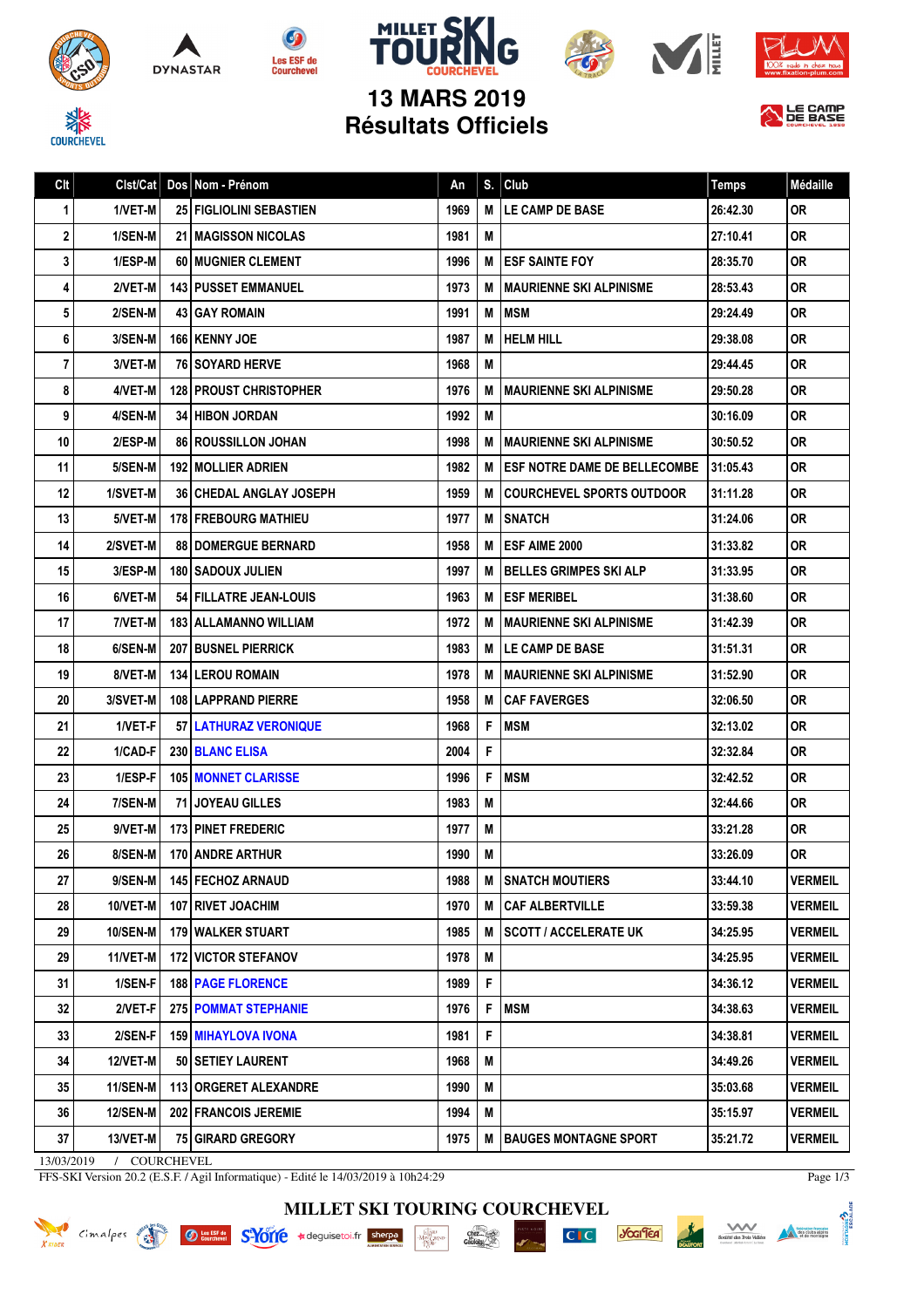













| Clt                                  | Clst/Cat        |  | Dos Nom - Prénom               | An   | S.          | Club                                | <b>Temps</b> | Médaille       |
|--------------------------------------|-----------------|--|--------------------------------|------|-------------|-------------------------------------|--------------|----------------|
| 1                                    | 1/VET-M         |  | <b>25 FIGLIOLINI SEBASTIEN</b> | 1969 | M           | <b>LE CAMP DE BASE</b>              | 26:42.30     | <b>OR</b>      |
| $\mathbf 2$                          | 1/SEN-M         |  | <b>21 I MAGISSON NICOLAS</b>   | 1981 | M           |                                     | 27:10.41     | <b>OR</b>      |
| 3                                    | 1/ESP-M         |  | 60 MUGNIER CLEMENT             | 1996 | M           | <b>ESF SAINTE FOY</b>               | 28:35.70     | 0R             |
| 4                                    | 2/VET-M         |  | <b>143   PUSSET EMMANUEL</b>   | 1973 | M           | <b>MAURIENNE SKI ALPINISME</b>      | 28:53.43     | <b>OR</b>      |
| 5                                    | 2/SEN-M         |  | <b>43 GAY ROMAIN</b>           | 1991 | M           | <b>MSM</b>                          | 29:24.49     | <b>OR</b>      |
| 6                                    | 3/SEN-M         |  | <b>166 KENNY JOE</b>           | 1987 | M           | <b>HELM HILL</b>                    | 29:38.08     | <b>OR</b>      |
| $\overline{7}$                       | 3/VET-M         |  | <b>76 SOYARD HERVE</b>         | 1968 | M           |                                     | 29:44.45     | <b>OR</b>      |
| 8                                    | 4/VET-M         |  | <b>128 PROUST CHRISTOPHER</b>  | 1976 | M           | <b>MAURIENNE SKI ALPINISME</b>      | 29:50.28     | <b>OR</b>      |
| 9                                    | 4/SEN-M         |  | <b>34 HIBON JORDAN</b>         | 1992 | M           |                                     | 30:16.09     | <b>OR</b>      |
| 10                                   | 2/ESP-M         |  | <b>86 ROUSSILLON JOHAN</b>     | 1998 | M           | <b>MAURIENNE SKI ALPINISME</b>      | 30:50.52     | <b>OR</b>      |
| 11                                   | 5/SEN-M         |  | <b>192   MOLLIER ADRIEN</b>    | 1982 | M           | <b>ESF NOTRE DAME DE BELLECOMBE</b> | 31:05.43     | 0R             |
| 12                                   | 1/SVET-M        |  | <b>36 CHEDAL ANGLAY JOSEPH</b> | 1959 | M           | <b>COURCHEVEL SPORTS OUTDOOR</b>    | 31:11.28     | <b>OR</b>      |
| 13                                   | 5/VET-M         |  | <b>178 FREBOURG MATHIEU</b>    | 1977 | M           | <b>SNATCH</b>                       | 31:24.06     | <b>OR</b>      |
| 14                                   | 2/SVET-M        |  | <b>88   DOMERGUE BERNARD</b>   | 1958 | M           | ESF AIME 2000                       | 31:33.82     | <b>OR</b>      |
| 15                                   | 3/ESP-M         |  | <b>180   SADOUX JULIEN</b>     | 1997 | M           | <b>BELLES GRIMPES SKI ALP</b>       | 31:33.95     | 0R             |
| 16                                   | 6/VET-M         |  | 54 FILLATRE JEAN-LOUIS         | 1963 | M           | <b>ESF MERIBEL</b>                  | 31:38.60     | <b>OR</b>      |
| 17                                   | 7/VET-M         |  | <b>183   ALLAMANNO WILLIAM</b> | 1972 | M           | <b>MAURIENNE SKI ALPINISME</b>      | 31:42.39     | <b>OR</b>      |
| 18                                   | 6/SEN-M         |  | <b>207 BUSNEL PIERRICK</b>     | 1983 | М           | <b>LE CAMP DE BASE</b>              | 31:51.31     | <b>OR</b>      |
| 19                                   | 8/VET-M         |  | <b>134 LEROU ROMAIN</b>        | 1978 | M           | <b>MAURIENNE SKI ALPINISME</b>      | 31:52.90     | <b>OR</b>      |
| 20                                   | 3/SVET-M        |  | <b>108 LAPPRAND PIERRE</b>     | 1958 | M           | <b>CAF FAVERGES</b>                 | 32:06.50     | 0R             |
| 21                                   | 1/VET-F         |  | 57 LATHURAZ VERONIQUE          | 1968 | F           | <b>MSM</b>                          | 32:13.02     | <b>OR</b>      |
| 22                                   | 1/CAD-F         |  | 230 BLANC ELISA                | 2004 | F           |                                     | 32:32.84     | <b>OR</b>      |
| 23                                   | 1/ESP-F         |  | <b>105 MONNET CLARISSE</b>     | 1996 | F           | <b>MSM</b>                          | 32:42.52     | <b>OR</b>      |
| 24                                   | 7/SEN-M         |  | 71 JOYEAU GILLES               | 1983 | M           |                                     | 32:44.66     | 0R             |
| 25                                   | 9/VET-M         |  | <b>173 PINET FREDERIC</b>      | 1977 | M           |                                     | 33:21.28     | <b>OR</b>      |
| 26                                   | 8/SEN-M         |  | <b>170 ANDRE ARTHUR</b>        | 1990 | M           |                                     | 33:26.09     | <b>OR</b>      |
| 27                                   | 9/SEN-M         |  | 145 FECHOZ ARNAUD              | 1988 | M           | <b>SNATCH MOUTIERS</b>              | 33:44.10     | <b>VERMEIL</b> |
| 28                                   | 10/VET-M        |  | 107   RIVET JOACHIM            | 1970 | M           | <b>CAF ALBERTVILLE</b>              | 33:59.38     | <b>VERMEIL</b> |
| 29                                   | 10/SEN-M        |  | 179 WALKER STUART              | 1985 | M           | <b>SCOTT / ACCELERATE UK</b>        | 34:25.95     | <b>VERMEIL</b> |
| 29                                   | 11/VET-M        |  | <b>172 VICTOR STEFANOV</b>     | 1978 | M           |                                     | 34:25.95     | <b>VERMEIL</b> |
| 31                                   | 1/SEN-F         |  | <b>188   PAGE FLORENCE</b>     | 1989 | $\mathsf F$ |                                     | 34:36.12     | <b>VERMEIL</b> |
| 32                                   | 2/VET-F         |  | 275 POMMAT STEPHANIE           | 1976 | -F          | <b>MSM</b>                          | 34:38.63     | <b>VERMEIL</b> |
| 33                                   | 2/SEN-F         |  | <b>159   MIHAYLOVA IVONA</b>   | 1981 | F           |                                     | 34:38.81     | VERMEIL        |
| 34                                   | 12/VET-M        |  | 50 SETIEY LAURENT              | 1968 | M           |                                     | 34:49.26     | <b>VERMEIL</b> |
| 35                                   | 11/SEN-M        |  | 113 ORGERET ALEXANDRE          | 1990 | M           |                                     | 35:03.68     | <b>VERMEIL</b> |
| 36                                   | <b>12/SEN-M</b> |  | 202 FRANCOIS JEREMIE           | 1994 | M           |                                     | 35:15.97     | <b>VERMEIL</b> |
| 37                                   | 13/VET-M        |  | <b>75 GIRARD GREGORY</b>       | 1975 | M           | <b>BAUGES MONTAGNE SPORT</b>        | 35:21.72     | <b>VERMEIL</b> |
| COURCHEVEL<br>13/03/2019<br>$\prime$ |                 |  |                                |      |             |                                     |              |                |

FFS-SKI Version 20.2 (E.S.F. / Agil Informatique) - Edité le 14/03/2019 à 10h24:29

**MILLET SKI TOURING COURCHEVEL**

 $\cdot \frac{\underset{D \in \mathbb{R}^n}{\underset{D \in \mathbb{R}^n}{\text{Max}}}}{\underset{D \in \mathbb{R}^n}{\text{Max}}}$ 

Knock Cimalpes et Omnibus S-10116 \*deguisetoi.fr sherpa



*<u><b>Jocifica*</u>

 $CI$ 

Page 1/3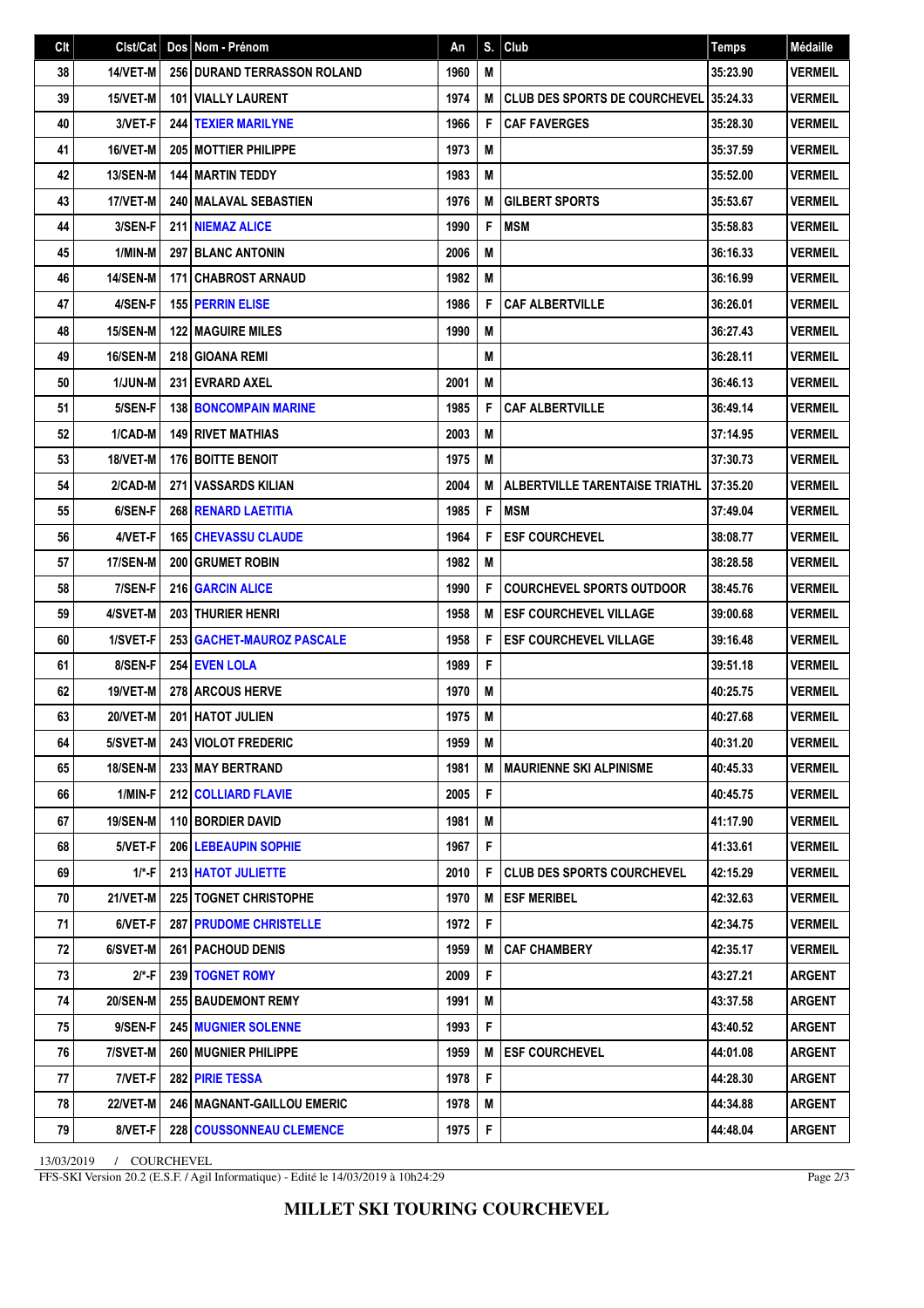| Clt | $Clst/Cat$ Dos  |      | Nom - Prénom                        | An   | S. | Club                                   | <b>Temps</b> | Médaille       |
|-----|-----------------|------|-------------------------------------|------|----|----------------------------------------|--------------|----------------|
| 38  | 14/VET-M        |      | 256 DURAND TERRASSON ROLAND         | 1960 | M  |                                        | 35:23.90     | <b>VERMEIL</b> |
| 39  | 15/VET-M        |      | <b>101   VIALLY LAURENT</b>         | 1974 | M  | CLUB DES SPORTS DE COURCHEVEL 35:24.33 |              | <b>VERMEIL</b> |
| 40  | 3/VET-F         |      | <b>244 TEXIER MARILYNE</b>          | 1966 | F  | <b>CAF FAVERGES</b>                    | 35:28.30     | <b>VERMEIL</b> |
| 41  | 16/VET-M        |      | 205 MOTTIER PHILIPPE                | 1973 | M  |                                        | 35:37.59     | <b>VERMEIL</b> |
| 42  | 13/SEN-M        |      | <b>144 MARTIN TEDDY</b>             | 1983 | M  |                                        | 35:52.00     | <b>VERMEIL</b> |
| 43  | 17/VET-M        |      | 240 MALAVAL SEBASTIEN               | 1976 | M  | <b>GILBERT SPORTS</b>                  | 35:53.67     | <b>VERMEIL</b> |
| 44  | 3/SEN-F         |      | <b>211 NIEMAZ ALICE</b>             | 1990 | F  | <b>MSM</b>                             | 35:58.83     | <b>VERMEIL</b> |
| 45  | 1/MIN-M         |      | <b>297 BLANC ANTONIN</b>            | 2006 | М  |                                        | 36:16.33     | <b>VERMEIL</b> |
| 46  | <b>14/SEN-M</b> |      | 171 CHABROST ARNAUD                 | 1982 | M  |                                        | 36:16.99     | <b>VERMEIL</b> |
| 47  | 4/SEN-F         |      | <b>155 PERRIN ELISE</b>             | 1986 | F  | <b>CAF ALBERTVILLE</b>                 | 36:26.01     | <b>VERMEIL</b> |
| 48  | 15/SEN-M        | 1221 | I MAGUIRE MILES                     | 1990 | М  |                                        | 36:27.43     | <b>VERMEIL</b> |
| 49  | 16/SEN-M        |      | <b>218 GIOANA REMI</b>              |      | M  |                                        | 36:28.11     | <b>VERMEIL</b> |
| 50  | 1/JUN-M         |      | 231 EVRARD AXEL                     | 2001 | M  |                                        | 36:46.13     | <b>VERMEIL</b> |
| 51  | 5/SEN-F         |      | <b>138 BONCOMPAIN MARINE</b>        | 1985 | F  | <b>CAF ALBERTVILLE</b>                 | 36:49.14     | <b>VERMEIL</b> |
| 52  | 1/CAD-M         |      | <b>149 RIVET MATHIAS</b>            | 2003 | M  |                                        | 37:14.95     | <b>VERMEIL</b> |
| 53  | 18/VET-M        |      | <b>176 BOITTE BENOIT</b>            | 1975 | M  |                                        | 37:30.73     | <b>VERMEIL</b> |
| 54  | 2/CAD-M         |      | <b>271 VASSARDS KILIAN</b>          | 2004 | M  | <b>ALBERTVILLE TARENTAISE TRIATHL</b>  | 37:35.20     | <b>VERMEIL</b> |
| 55  | 6/SEN-F         |      | 268 RENARD LAETITIA                 | 1985 | F  | <b>MSM</b>                             | 37:49.04     | <b>VERMEIL</b> |
| 56  | 4/VET-F         |      | <b>165 CHEVASSU CLAUDE</b>          | 1964 | F  | <b>ESF COURCHEVEL</b>                  | 38:08.77     | <b>VERMEIL</b> |
| 57  | <b>17/SEN-M</b> |      | <b>200 GRUMET ROBIN</b>             | 1982 | M  |                                        | 38:28.58     | <b>VERMEIL</b> |
| 58  | 7/SEN-F         |      | <b>216 GARCIN ALICE</b>             | 1990 | F  | <b>COURCHEVEL SPORTS OUTDOOR</b>       | 38:45.76     | <b>VERMEIL</b> |
| 59  | 4/SVET-M        |      | 203 THURIER HENRI                   | 1958 | M  | <b>ESF COURCHEVEL VILLAGE</b>          | 39:00.68     | <b>VERMEIL</b> |
| 60  | 1/SVET-F        |      | 253   GACHET-MAUROZ PASCALE         | 1958 | F  | <b>ESF COURCHEVEL VILLAGE</b>          | 39:16.48     | <b>VERMEIL</b> |
| 61  | 8/SEN-F         |      | 254 EVEN LOLA                       | 1989 | F  |                                        | 39:51.18     | <b>VERMEIL</b> |
| 62  | 19/VET-M        |      | 278 ARCOUS HERVE                    | 1970 | M  |                                        | 40:25.75     | <b>VERMEIL</b> |
| 63  | 20/VET-M        |      | <b>201 HATOT JULIEN</b>             | 1975 | M  |                                        | 40:27.68     | <b>VERMEIL</b> |
| 64  | 5/SVET-M        |      | 243 VIOLOT FREDERIC                 | 1959 | M  |                                        | 40:31.20     | <b>VERMEIL</b> |
| 65  | 18/SEN-M        |      | <b>233 MAY BERTRAND</b>             | 1981 | М  | <b>MAURIENNE SKI ALPINISME</b>         | 40:45.33     | <b>VERMEIL</b> |
| 66  | 1/MIN-F         |      | <b>212 COLLIARD FLAVIE</b>          | 2005 | F  |                                        | 40:45.75     | VERMEIL        |
| 67  | 19/SEN-M        |      | 110 BORDIER DAVID                   | 1981 | M  |                                        | 41:17.90     | <b>VERMEIL</b> |
| 68  | 5/VET-F         |      | 206 LEBEAUPIN SOPHIE                | 1967 | F. |                                        | 41:33.61     | <b>VERMEIL</b> |
| 69  | $1/*-F$         |      | 213   HATOT JULIETTE                | 2010 | F  | <b>CLUB DES SPORTS COURCHEVEL</b>      | 42:15.29     | <b>VERMEIL</b> |
| 70  | 21/VET-M        |      | 225 TOGNET CHRISTOPHE               | 1970 | М  | <b>ESF MERIBEL</b>                     | 42:32.63     | <b>VERMEIL</b> |
| 71  | 6/VET-F         |      | <b>287   PRUDOME CHRISTELLE</b>     | 1972 | F  |                                        | 42:34.75     | <b>VERMEIL</b> |
| 72  | 6/SVET-M        |      | 261   PACHOUD DENIS                 | 1959 | M  | <b>CAF CHAMBERY</b>                    | 42:35.17     | <b>VERMEIL</b> |
| 73  | $2$ /*-F        |      | 239   TOGNET ROMY                   | 2009 | F  |                                        | 43:27.21     | <b>ARGENT</b>  |
| 74  | <b>20/SEN-M</b> |      | <b>255 BAUDEMONT REMY</b>           | 1991 | М  |                                        | 43:37.58     | ARGENT         |
| 75  | 9/SEN-F         |      | <b>245   MUGNIER SOLENNE</b>        | 1993 | F  |                                        | 43:40.52     | ARGENT         |
| 76  | 7/SVET-M        |      | <b>260   MUGNIER PHILIPPE</b>       | 1959 | M  | <b>ESF COURCHEVEL</b>                  | 44:01.08     | <b>ARGENT</b>  |
| 77  | 7/VET-F         |      | <b>282 PIRIE TESSA</b>              | 1978 | F  |                                        | 44:28.30     | <b>ARGENT</b>  |
| 78  | <b>22/VET-M</b> |      | <b>246   MAGNANT-GAILLOU EMERIC</b> | 1978 | М  |                                        | 44:34.88     | <b>ARGENT</b>  |
| 79  | 8/VET-F         |      | 228 COUSSONNEAU CLEMENCE            | 1975 | F  |                                        | 44:48.04     | <b>ARGENT</b>  |

13/03/2019 / COURCHEVEL

FFS-SKI Version 20.2 (E.S.F. / Agil Informatique) - Edité le 14/03/2019 à 10h24:29

Page 2/3

**MILLET SKI TOURING COURCHEVEL**